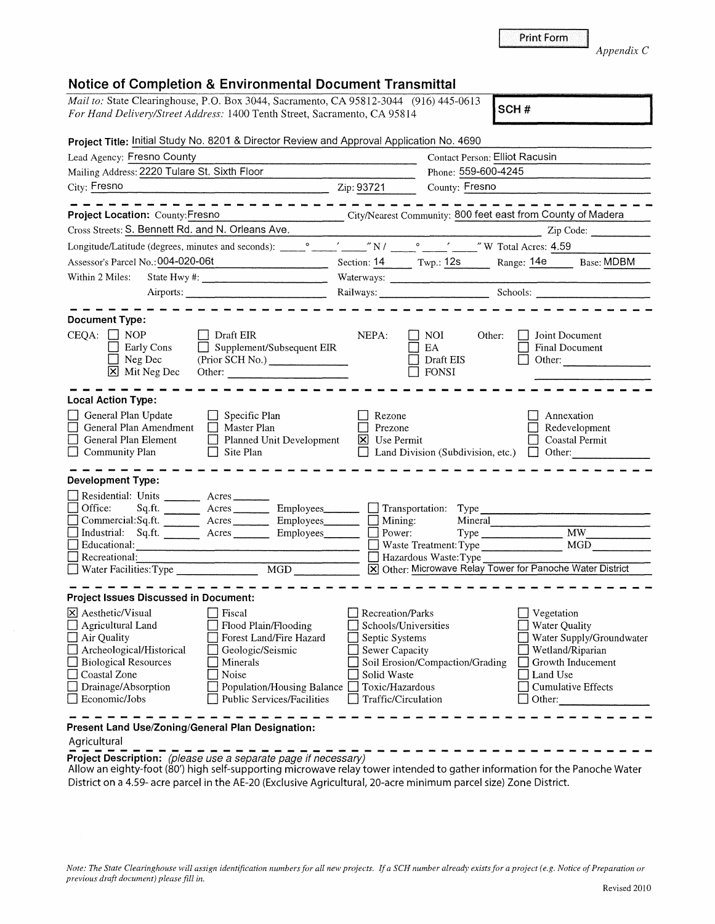## **Notice of Completion & Environmental Document Transmittal**

| ant to: State Clearinghouse, P.O. Box 3044, Sacramento, CA 95812-3044 (916) 445-0613 SCH # |  |
|--------------------------------------------------------------------------------------------|--|
| <i>For Hand Delivery/Street Address:</i> 1400 Tenth Street, Sacramento, CA 95814           |  |
|                                                                                            |  |

| Project Title: Initial Study No. 8201 & Director Review and Approval Application No. 4690                                                                                                                                                                                                                                                                      |                                                                                                       |                                                                                                                                                                                                                                |                                                                                                                         |                          |
|----------------------------------------------------------------------------------------------------------------------------------------------------------------------------------------------------------------------------------------------------------------------------------------------------------------------------------------------------------------|-------------------------------------------------------------------------------------------------------|--------------------------------------------------------------------------------------------------------------------------------------------------------------------------------------------------------------------------------|-------------------------------------------------------------------------------------------------------------------------|--------------------------|
| Lead Agency: Fresno County                                                                                                                                                                                                                                                                                                                                     |                                                                                                       | Contact Person: Elliot Racusin                                                                                                                                                                                                 |                                                                                                                         |                          |
| Mailing Address: 2220 Tulare St. Sixth Floor                                                                                                                                                                                                                                                                                                                   |                                                                                                       | Phone: 559-600-4245                                                                                                                                                                                                            |                                                                                                                         |                          |
| City: Fresno<br>$\frac{1}{2}$ Zip: 93721                                                                                                                                                                                                                                                                                                                       |                                                                                                       | County: Fresno                                                                                                                                                                                                                 |                                                                                                                         |                          |
| Project Location: County: Fresno                                                                                                                                                                                                                                                                                                                               |                                                                                                       | City/Nearest Community: 800 feet east from County of Madera                                                                                                                                                                    |                                                                                                                         |                          |
| Cross Streets: S. Bennett Rd. and N. Orleans Ave.                                                                                                                                                                                                                                                                                                              |                                                                                                       |                                                                                                                                                                                                                                |                                                                                                                         | Zip Code:                |
| Longitude/Latitude (degrees, minutes and seconds): vertical contract of the contract of the contract of the contract of the contract of the contract of the contract of the contract of the contract of the contract of the co                                                                                                                                 |                                                                                                       |                                                                                                                                                                                                                                |                                                                                                                         |                          |
| Assessor's Parcel No.: 004-020-06t                                                                                                                                                                                                                                                                                                                             |                                                                                                       | Section: 14 Twp.: 12s Range: 14e Base: MDBM                                                                                                                                                                                    |                                                                                                                         |                          |
| Within 2 Miles:                                                                                                                                                                                                                                                                                                                                                |                                                                                                       |                                                                                                                                                                                                                                |                                                                                                                         |                          |
| Airports:                                                                                                                                                                                                                                                                                                                                                      |                                                                                                       | Railways: Schools: Schools: Charles Schools: Charles Schools: Charles Schools: Charles Schools: Charles Schools: Charles Schools: Charles Schools: Charles Schools: Charles Schools: Charles Schools: Charles Schools: Charles |                                                                                                                         |                          |
| <b>Document Type:</b><br>$CEOA:$ NOP<br>$\Box$ Draft EIR<br>Early Cons<br>$\Box$ Supplement/Subsequent EIR<br>Neg Dec<br>(Prior SCH No.)<br>X Mit Neg Dec                                                                                                                                                                                                      | NEPA:                                                                                                 | $\Box$ NOI<br>Other:<br>EA<br>$\Box$ Draft EIS<br>$\Box$ FONSI                                                                                                                                                                 | Joint Document<br><b>Final Document</b><br>Other:                                                                       |                          |
| <b>Local Action Type:</b><br>General Plan Update<br>$\Box$ Specific Plan<br>General Plan Amendment □ Master Plan<br>General Plan Element<br>$\Box$ Planned Unit Development<br>Community Plan<br>$\Box$ Site Plan                                                                                                                                              | Rezone<br>$\Box$<br>Prezone<br><b>X</b> Use Permit                                                    | $\Box$ Land Division (Subdivision, etc.) $\Box$ Other:                                                                                                                                                                         | Annexation<br>Coastal Permit                                                                                            | Redevelopment            |
| <b>Development Type:</b><br>Residential: Units ________ Acres _______<br>Sq.ft. _________ Acres __________ Employees ________ __ Transportation: Type<br>Office:<br>Commercial:Sq.ft. ________ Acres _________ Employees _______                                                                                                                               | $\Box$ Mining:                                                                                        | Mineral                                                                                                                                                                                                                        |                                                                                                                         |                          |
| Industrial: Sq.ft. Acres Employees                                                                                                                                                                                                                                                                                                                             | $\Box$ Power:                                                                                         |                                                                                                                                                                                                                                | Type MW_                                                                                                                |                          |
| Educational:                                                                                                                                                                                                                                                                                                                                                   |                                                                                                       | Waste Treatment: Type MGD                                                                                                                                                                                                      |                                                                                                                         |                          |
| Recreational:                                                                                                                                                                                                                                                                                                                                                  |                                                                                                       | Hazardous Waste: Type<br>X Other: Microwave Relay Tower for Panoche Water District                                                                                                                                             |                                                                                                                         |                          |
| MGD<br><b>Project Issues Discussed in Document:</b>                                                                                                                                                                                                                                                                                                            |                                                                                                       |                                                                                                                                                                                                                                |                                                                                                                         |                          |
| $\vert\mathsf{X}\vert$ Aesthetic/Visual<br>  Fiscal                                                                                                                                                                                                                                                                                                            | Recreation/Parks                                                                                      |                                                                                                                                                                                                                                | Vegetation                                                                                                              |                          |
| Flood Plain/Flooding<br>Agricultural Land<br>$\Box$ Air Quality<br>Forest Land/Fire Hazard<br>Archeological/Historical<br>$\Box$ Geologic/Seismic<br><b>Biological Resources</b><br><b>Minerals</b><br>Coastal Zone<br>Noise<br>Drainage/Absorption<br>$\Box$ Population/Housing Balance $\Box$ Toxic/Hazardous<br>Economic/Jobs<br>Public Services/Facilities | Schools/Universities<br>Septic Systems<br>Sewer Capacity<br>Solid Waste<br>$\Box$ Traffic/Circulation | Soil Erosion/Compaction/Grading                                                                                                                                                                                                | Water Quality<br>$\Box$ Wetland/Riparian<br>$\Box$ Growth Inducement<br>Land Use<br>Cumulative Effects<br>$\Box$ Other: | Water Supply/Groundwater |
| Present Land Use/Zoning/General Plan Designation:                                                                                                                                                                                                                                                                                                              |                                                                                                       |                                                                                                                                                                                                                                |                                                                                                                         |                          |

## Agricultural

Agricultural<br> **Froject Description:** (please use a separate page if necessary)<br>
Allow an eighty-foot (80') high self-supporting microwave relay tower intended to gather information for the Panoche Water District on a 4.59- acre parcel in the AE-20 (Exclusive Agricultural, 20-acre minimum parcel size) Zone District.

*Appendix* C

|  |  | <b>Print Form</b> |
|--|--|-------------------|
|  |  |                   |
|  |  |                   |
|  |  |                   |